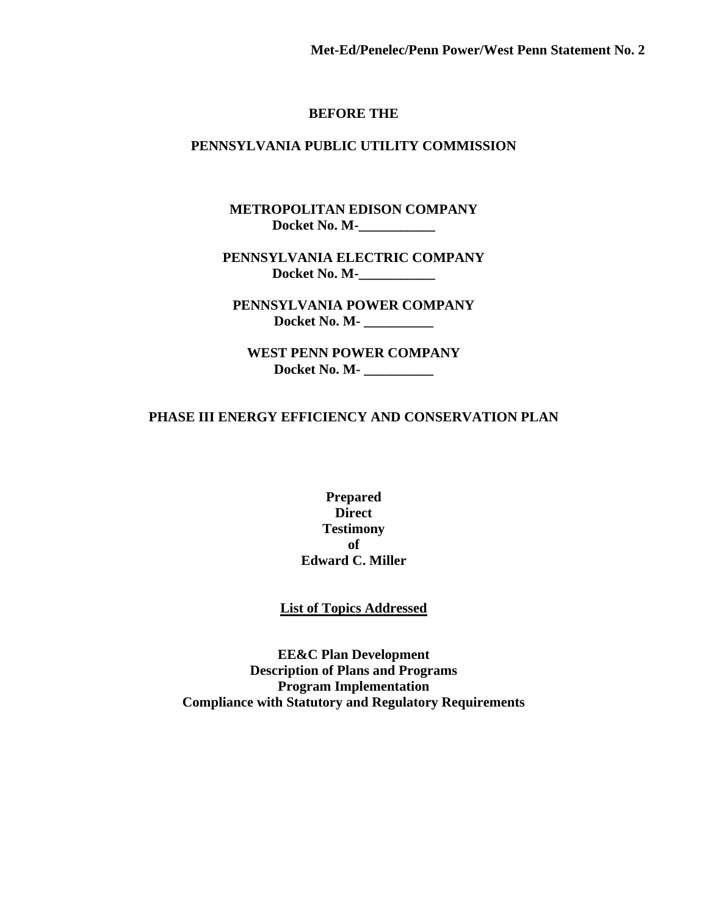#### **BEFORE THE**

#### **PENNSYLVANIA PUBLIC UTILITY COMMISSION**

**METROPOLITAN EDISON COMPANY Docket No. M-\_\_\_\_\_\_\_\_\_\_\_** 

**PENNSYLVANIA ELECTRIC COMPANY Docket No. M-\_\_\_\_\_\_\_\_\_\_\_** 

**PENNSYLVANIA POWER COMPANY Docket No. M- \_\_\_\_\_\_\_\_\_\_** 

**WEST PENN POWER COMPANY Docket No. M- \_\_\_\_\_\_\_\_\_\_** 

#### **PHASE III ENERGY EFFICIENCY AND CONSERVATION PLAN**

**Prepared Direct Testimony of Edward C. Miller**

#### **List of Topics Addressed**

**EE&C Plan Development Description of Plans and Programs Program Implementation Compliance with Statutory and Regulatory Requirements**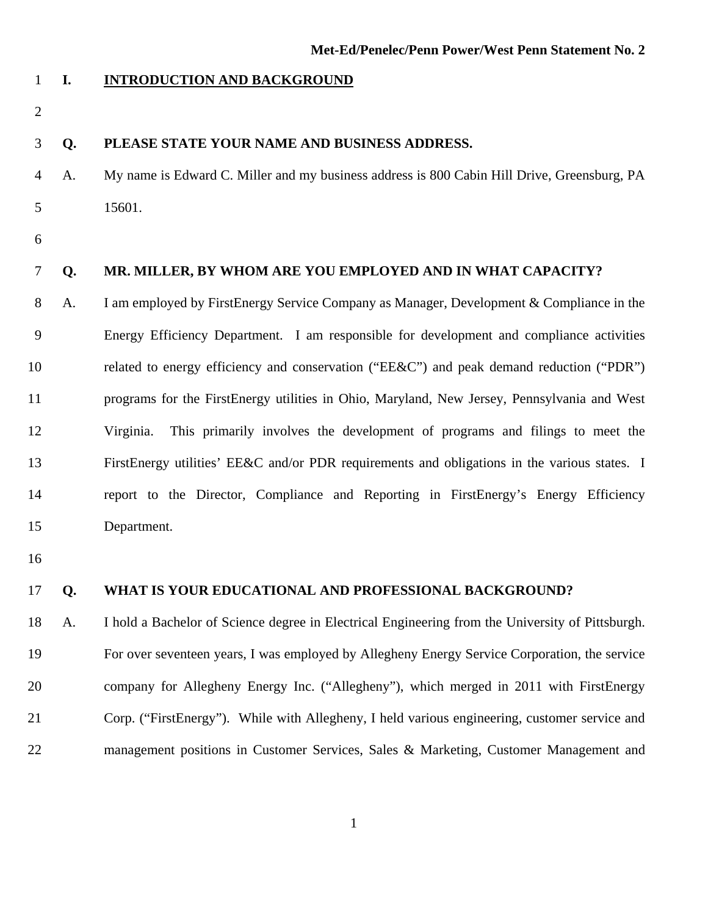- 1 **I. INTRODUCTION AND BACKGROUND**
- 2

#### 3 **Q. PLEASE STATE YOUR NAME AND BUSINESS ADDRESS.**

- 4 A. My name is Edward C. Miller and my business address is 800 Cabin Hill Drive, Greensburg, PA 5 15601.
- 6

#### 7 **Q. MR. MILLER, BY WHOM ARE YOU EMPLOYED AND IN WHAT CAPACITY?**

8 A. I am employed by FirstEnergy Service Company as Manager, Development & Compliance in the 9 Energy Efficiency Department. I am responsible for development and compliance activities 10 related to energy efficiency and conservation ("EE&C") and peak demand reduction ("PDR") 11 programs for the FirstEnergy utilities in Ohio, Maryland, New Jersey, Pennsylvania and West 12 Virginia. This primarily involves the development of programs and filings to meet the 13 FirstEnergy utilities' EE&C and/or PDR requirements and obligations in the various states. I 14 report to the Director, Compliance and Reporting in FirstEnergy's Energy Efficiency 15 Department.

16

#### 17 **Q. WHAT IS YOUR EDUCATIONAL AND PROFESSIONAL BACKGROUND?**

18 A. I hold a Bachelor of Science degree in Electrical Engineering from the University of Pittsburgh. 19 For over seventeen years, I was employed by Allegheny Energy Service Corporation, the service 20 company for Allegheny Energy Inc. ("Allegheny"), which merged in 2011 with FirstEnergy 21 Corp. ("FirstEnergy"). While with Allegheny, I held various engineering, customer service and 22 management positions in Customer Services, Sales & Marketing, Customer Management and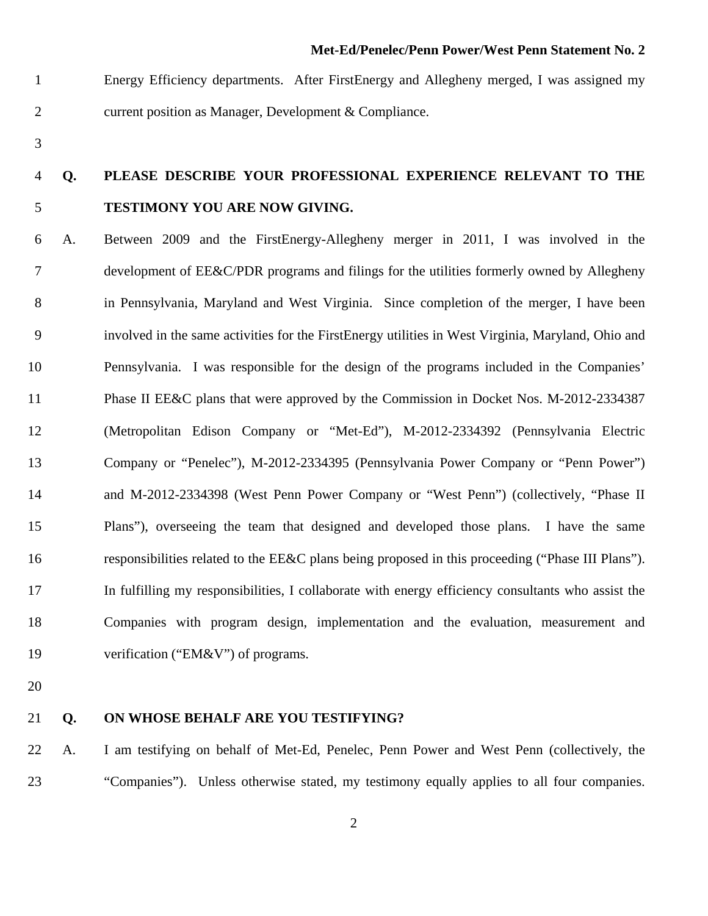- 1 Energy Efficiency departments. After FirstEnergy and Allegheny merged, I was assigned my 2 current position as Manager, Development & Compliance.
- 3

### 4 **Q. PLEASE DESCRIBE YOUR PROFESSIONAL EXPERIENCE RELEVANT TO THE**  5 **TESTIMONY YOU ARE NOW GIVING.**

6 A.Between 2009 and the FirstEnergy-Allegheny merger in 2011, I was involved in the 7 development of EE&C/PDR programs and filings for the utilities formerly owned by Allegheny 8 in Pennsylvania, Maryland and West Virginia. Since completion of the merger, I have been 9 involved in the same activities for the FirstEnergy utilities in West Virginia, Maryland, Ohio and 10 Pennsylvania. I was responsible for the design of the programs included in the Companies' 11 Phase II EE&C plans that were approved by the Commission in Docket Nos. M-2012-2334387 12 (Metropolitan Edison Company or "Met-Ed"), M-2012-2334392 (Pennsylvania Electric 13 Company or "Penelec"), M-2012-2334395 (Pennsylvania Power Company or "Penn Power") 14 and M-2012-2334398 (West Penn Power Company or "West Penn") (collectively, "Phase II 15 Plans"), overseeing the team that designed and developed those plans. I have the same 16 responsibilities related to the EE&C plans being proposed in this proceeding ("Phase III Plans"). 17 In fulfilling my responsibilities, I collaborate with energy efficiency consultants who assist the 18 Companies with program design, implementation and the evaluation, measurement and 19 verification ("EM&V") of programs.

20

#### 21 **Q. ON WHOSE BEHALF ARE YOU TESTIFYING?**

22 A. I am testifying on behalf of Met-Ed, Penelec, Penn Power and West Penn (collectively, the 23 "Companies"). Unless otherwise stated, my testimony equally applies to all four companies.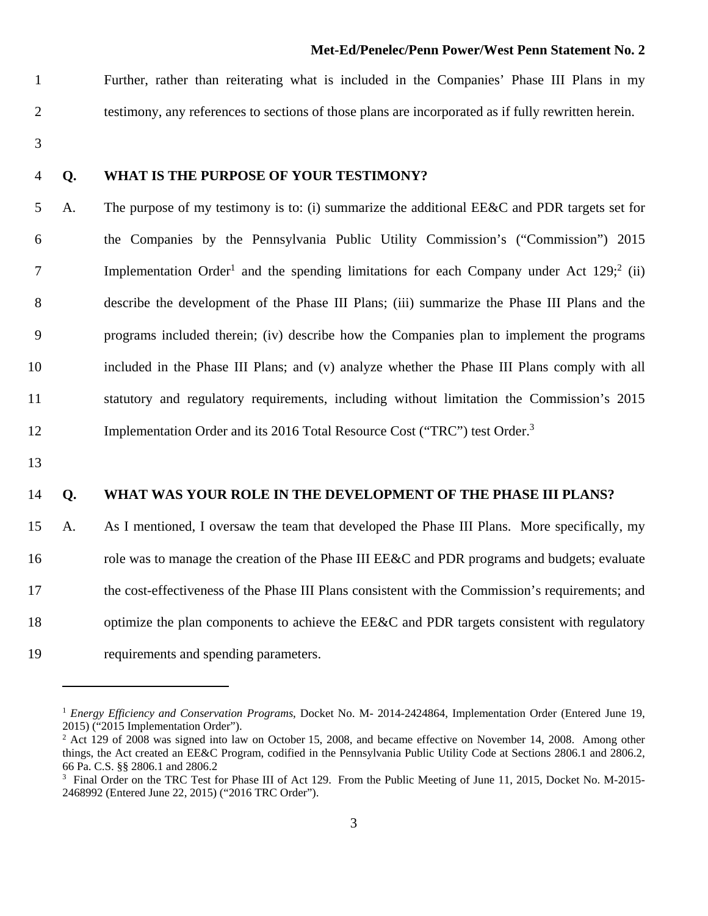1 Further, rather than reiterating what is included in the Companies' Phase III Plans in my 2 testimony, any references to sections of those plans are incorporated as if fully rewritten herein.

3

#### 4 **Q. WHAT IS THE PURPOSE OF YOUR TESTIMONY?**

5 A. The purpose of my testimony is to: (i) summarize the additional EE&C and PDR targets set for 6 the Companies by the Pennsylvania Public Utility Commission's ("Commission") 2015 Implementation Order<sup>1</sup> and the spending limitations for each Company under Act  $129$ ;  $\overset{2}{(ii)}$ 8 describe the development of the Phase III Plans; (iii) summarize the Phase III Plans and the 9 programs included therein; (iv) describe how the Companies plan to implement the programs 10 included in the Phase III Plans; and (v) analyze whether the Phase III Plans comply with all 11 statutory and regulatory requirements, including without limitation the Commission's 2015 12 Implementation Order and its 2016 Total Resource Cost ("TRC") test Order.<sup>3</sup>

13

#### 14 **Q. WHAT WAS YOUR ROLE IN THE DEVELOPMENT OF THE PHASE III PLANS?**

15 A. As I mentioned, I oversaw the team that developed the Phase III Plans. More specifically, my 16 role was to manage the creation of the Phase III EE&C and PDR programs and budgets; evaluate 17 the cost-effectiveness of the Phase III Plans consistent with the Commission's requirements; and 18 optimize the plan components to achieve the EE&C and PDR targets consistent with regulatory 19 requirements and spending parameters.

<sup>1</sup> *Energy Efficiency and Conservation Programs*, Docket No. M- 2014-2424864, Implementation Order (Entered June 19, 2015) ("2015 Implementation Order").

<sup>&</sup>lt;sup>2</sup> Act 129 of 2008 was signed into law on October 15, 2008, and became effective on November 14, 2008. Among other things, the Act created an EE&C Program, codified in the Pennsylvania Public Utility Code at Sections 2806.1 and 2806.2, 66 Pa. C.S. §§ 2806.1 and 2806.2

<sup>&</sup>lt;sup>3</sup> Final Order on the TRC Test for Phase III of Act 129. From the Public Meeting of June 11, 2015, Docket No. M-2015-2468992 (Entered June 22, 2015) ("2016 TRC Order").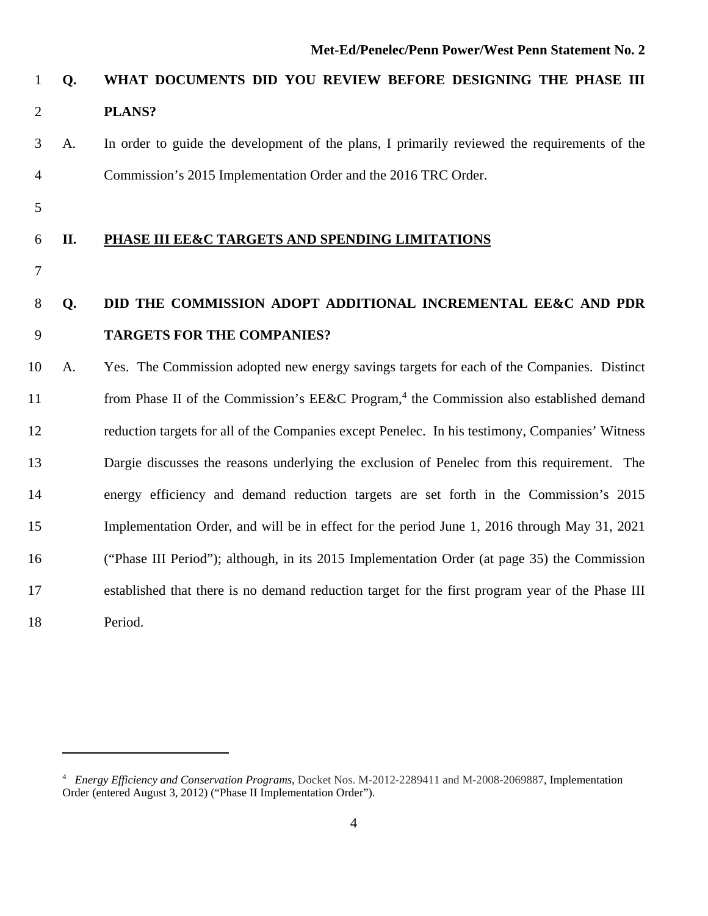### 1 **Q. WHAT DOCUMENTS DID YOU REVIEW BEFORE DESIGNING THE PHASE III**  2 **PLANS?**

3 A. In order to guide the development of the plans, I primarily reviewed the requirements of the 4 Commission's 2015 Implementation Order and the 2016 TRC Order.

5

#### 6 **II. PHASE III EE&C TARGETS AND SPENDING LIMITATIONS**

7

### 8 **Q. DID THE COMMISSION ADOPT ADDITIONAL INCREMENTAL EE&C AND PDR**  9 **TARGETS FOR THE COMPANIES?**

10 A. Yes. The Commission adopted new energy savings targets for each of the Companies. Distinct 11 from Phase II of the Commission's EE&C Program,<sup>4</sup> the Commission also established demand 12 reduction targets for all of the Companies except Penelec. In his testimony, Companies' Witness 13 Dargie discusses the reasons underlying the exclusion of Penelec from this requirement. The 14 energy efficiency and demand reduction targets are set forth in the Commission's 2015 15 Implementation Order, and will be in effect for the period June 1, 2016 through May 31, 2021 16 ("Phase III Period"); although, in its 2015 Implementation Order (at page 35) the Commission 17 established that there is no demand reduction target for the first program year of the Phase III 18 Period.

<sup>4</sup> *Energy Efficiency and Conservation Programs*, Docket Nos. M-2012-2289411 and M-2008-2069887, Implementation Order (entered August 3, 2012) ("Phase II Implementation Order").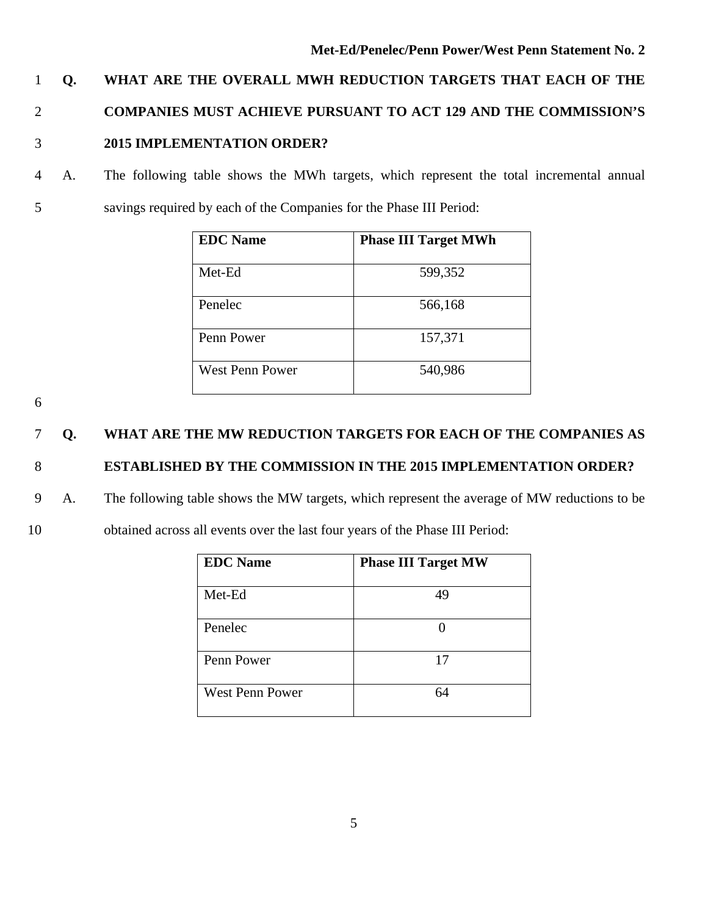### 1 **Q. WHAT ARE THE OVERALL MWH REDUCTION TARGETS THAT EACH OF THE**  2 **COMPANIES MUST ACHIEVE PURSUANT TO ACT 129 AND THE COMMISSION'S**  3 **2015 IMPLEMENTATION ORDER?**

4 A. The following table shows the MWh targets, which represent the total incremental annual 5 savings required by each of the Companies for the Phase III Period:

| <b>EDC</b> Name | <b>Phase III Target MWh</b> |
|-----------------|-----------------------------|
| Met-Ed          | 599,352                     |
| Penelec         | 566,168                     |
| Penn Power      | 157,371                     |
| West Penn Power | 540,986                     |

6

### 7 **Q. WHAT ARE THE MW REDUCTION TARGETS FOR EACH OF THE COMPANIES AS**

### 8 **ESTABLISHED BY THE COMMISSION IN THE 2015 IMPLEMENTATION ORDER?**

- 9 A. The following table shows the MW targets, which represent the average of MW reductions to be
- 10 obtained across all events over the last four years of the Phase III Period:

| <b>EDC</b> Name        | <b>Phase III Target MW</b> |
|------------------------|----------------------------|
| Met-Ed                 | 49                         |
|                        |                            |
| Penelec                |                            |
| Penn Power             | 17                         |
| <b>West Penn Power</b> | 64                         |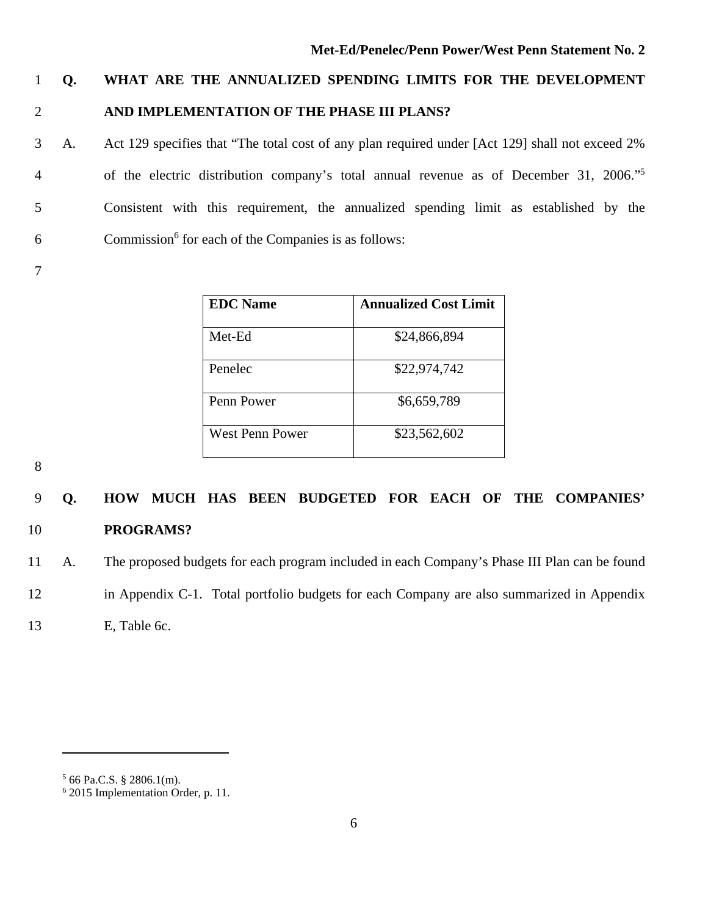### 1 **Q. WHAT ARE THE ANNUALIZED SPENDING LIMITS FOR THE DEVELOPMENT**  2 **AND IMPLEMENTATION OF THE PHASE III PLANS?**

3 A. Act 129 specifies that "The total cost of any plan required under [Act 129] shall not exceed 2% of the electric distribution company's total annual revenue as of December 31, 2006."5 4 5 Consistent with this requirement, the annualized spending limit as established by the  $6$  Commission<sup>6</sup> for each of the Companies is as follows:

7

| <b>EDC</b> Name | <b>Annualized Cost Limit</b> |
|-----------------|------------------------------|
| Met-Ed          | \$24,866,894                 |
| Penelec         | \$22,974,742                 |
| Penn Power      | \$6,659,789                  |
| West Penn Power | \$23,562,602                 |

8

### 9 **Q. HOW MUCH HAS BEEN BUDGETED FOR EACH OF THE COMPANIES'**  10 **PROGRAMS?**

11 A. The proposed budgets for each program included in each Company's Phase III Plan can be found

12 in Appendix C-1. Total portfolio budgets for each Company are also summarized in Appendix

13 E, Table 6c.

 $566$  Pa.C.S. § 2806.1(m).

<sup>6</sup> 2015 Implementation Order, p. 11.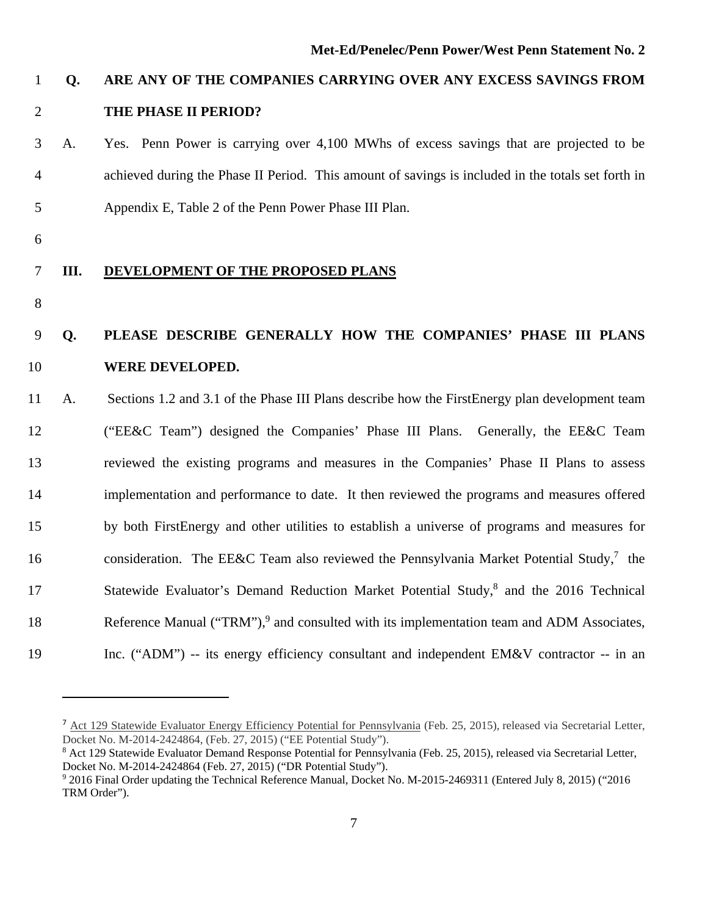### 1 **Q. ARE ANY OF THE COMPANIES CARRYING OVER ANY EXCESS SAVINGS FROM**  2 **THE PHASE II PERIOD?**

- 3 A. Yes. Penn Power is carrying over 4,100 MWhs of excess savings that are projected to be 4 achieved during the Phase II Period. This amount of savings is included in the totals set forth in 5 Appendix E, Table 2 of the Penn Power Phase III Plan.
- 6

#### 7 **III. DEVELOPMENT OF THE PROPOSED PLANS**

8

### 9 **Q. PLEASE DESCRIBE GENERALLY HOW THE COMPANIES' PHASE III PLANS**  10 **WERE DEVELOPED.**

11 A. Sections 1.2 and 3.1 of the Phase III Plans describe how the FirstEnergy plan development team 12 ("EE&C Team") designed the Companies' Phase III Plans. Generally, the EE&C Team 13 reviewed the existing programs and measures in the Companies' Phase II Plans to assess 14 implementation and performance to date. It then reviewed the programs and measures offered 15 by both FirstEnergy and other utilities to establish a universe of programs and measures for 16 consideration. The EE&C Team also reviewed the Pennsylvania Market Potential Study,<sup>7</sup> the 17 Statewide Evaluator's Demand Reduction Market Potential Study,<sup>8</sup> and the 2016 Technical 18 Reference Manual ("TRM"),<sup>9</sup> and consulted with its implementation team and ADM Associates, 19 Inc. ("ADM") -- its energy efficiency consultant and independent EM&V contractor -- in an

<sup>&</sup>lt;sup>7</sup> Act 129 Statewide Evaluator Energy Efficiency Potential for Pennsylvania (Feb. 25, 2015), released via Secretarial Letter, Docket No. M-2014-2424864, (Feb. 27, 2015) ("EE Potential Study").

<sup>&</sup>lt;sup>8</sup> Act 129 Statewide Evaluator Demand Response Potential for Pennsylvania (Feb. 25, 2015), released via Secretarial Letter, Docket No. M-2014-2424864 (Feb. 27, 2015) ("DR Potential Study").

<sup>9</sup> 2016 Final Order updating the Technical Reference Manual, Docket No. M-2015-2469311 (Entered July 8, 2015) ("2016 TRM Order").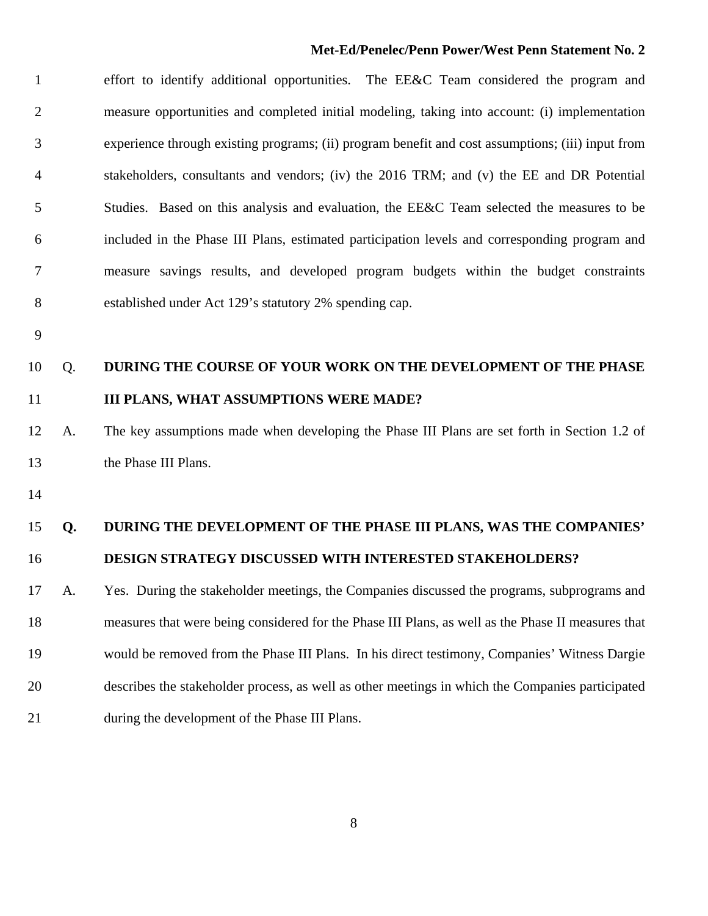1 effort to identify additional opportunities. The EE&C Team considered the program and 2 measure opportunities and completed initial modeling, taking into account: (i) implementation 3 experience through existing programs; (ii) program benefit and cost assumptions; (iii) input from 4 stakeholders, consultants and vendors; (iv) the 2016 TRM; and (v) the EE and DR Potential 5 Studies. Based on this analysis and evaluation, the EE&C Team selected the measures to be 6 included in the Phase III Plans, estimated participation levels and corresponding program and 7 measure savings results, and developed program budgets within the budget constraints 8 established under Act 129's statutory 2% spending cap.

9

### 10 Q. **DURING THE COURSE OF YOUR WORK ON THE DEVELOPMENT OF THE PHASE**  11 **III PLANS, WHAT ASSUMPTIONS WERE MADE?**

12 A. The key assumptions made when developing the Phase III Plans are set forth in Section 1.2 of 13 the Phase III Plans.

14

### 15 **Q. DURING THE DEVELOPMENT OF THE PHASE III PLANS, WAS THE COMPANIES'**  16 **DESIGN STRATEGY DISCUSSED WITH INTERESTED STAKEHOLDERS?**

17 A. Yes.During the stakeholder meetings, the Companies discussed the programs, subprograms and 18 measures that were being considered for the Phase III Plans, as well as the Phase II measures that 19 would be removed from the Phase III Plans. In his direct testimony, Companies' Witness Dargie 20 describes the stakeholder process, as well as other meetings in which the Companies participated 21 during the development of the Phase III Plans.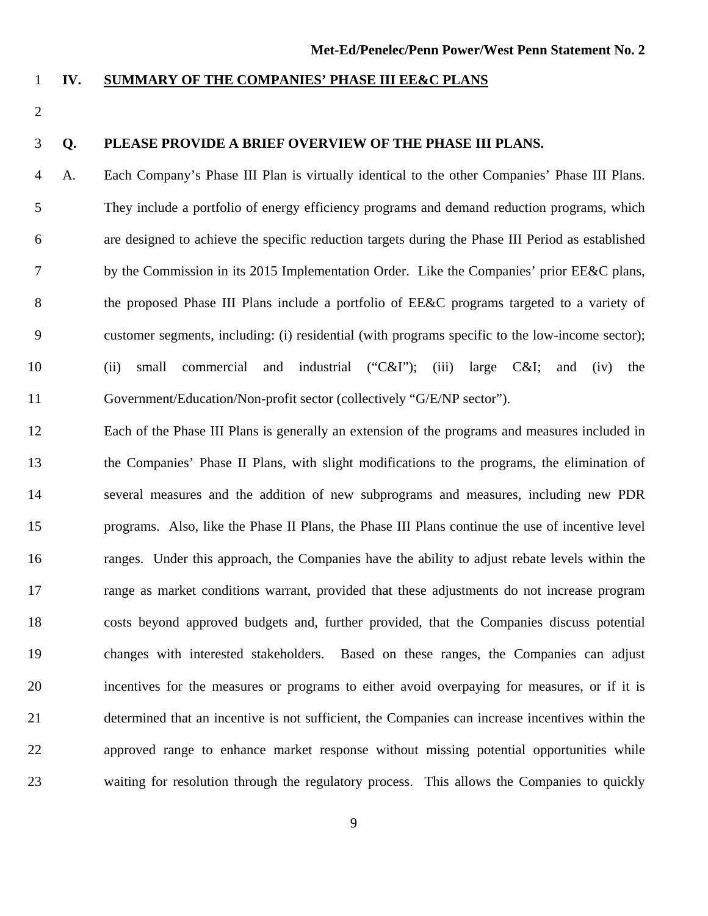#### 1 **IV. SUMMARY OF THE COMPANIES' PHASE III EE&C PLANS**

2

#### 3 **Q. PLEASE PROVIDE A BRIEF OVERVIEW OF THE PHASE III PLANS.**

4 A.Each Company's Phase III Plan is virtually identical to the other Companies' Phase III Plans. 5 They include a portfolio of energy efficiency programs and demand reduction programs, which 6 are designed to achieve the specific reduction targets during the Phase III Period as established 7 by the Commission in its 2015 Implementation Order. Like the Companies' prior EE&C plans, 8 the proposed Phase III Plans include a portfolio of EE&C programs targeted to a variety of 9 customer segments, including: (i) residential (with programs specific to the low-income sector); 10 (ii) small commercial and industrial ("C&I"); (iii) large C&I; and (iv) the 11 Government/Education/Non-profit sector (collectively "G/E/NP sector").

12 Each of the Phase III Plans is generally an extension of the programs and measures included in 13 the Companies' Phase II Plans, with slight modifications to the programs, the elimination of 14 several measures and the addition of new subprograms and measures, including new PDR 15 programs. Also, like the Phase II Plans, the Phase III Plans continue the use of incentive level 16 ranges. Under this approach, the Companies have the ability to adjust rebate levels within the 17 range as market conditions warrant, provided that these adjustments do not increase program 18 costs beyond approved budgets and, further provided, that the Companies discuss potential 19 changes with interested stakeholders. Based on these ranges, the Companies can adjust 20 incentives for the measures or programs to either avoid overpaying for measures, or if it is 21 determined that an incentive is not sufficient, the Companies can increase incentives within the 22 approved range to enhance market response without missing potential opportunities while 23 waiting for resolution through the regulatory process. This allows the Companies to quickly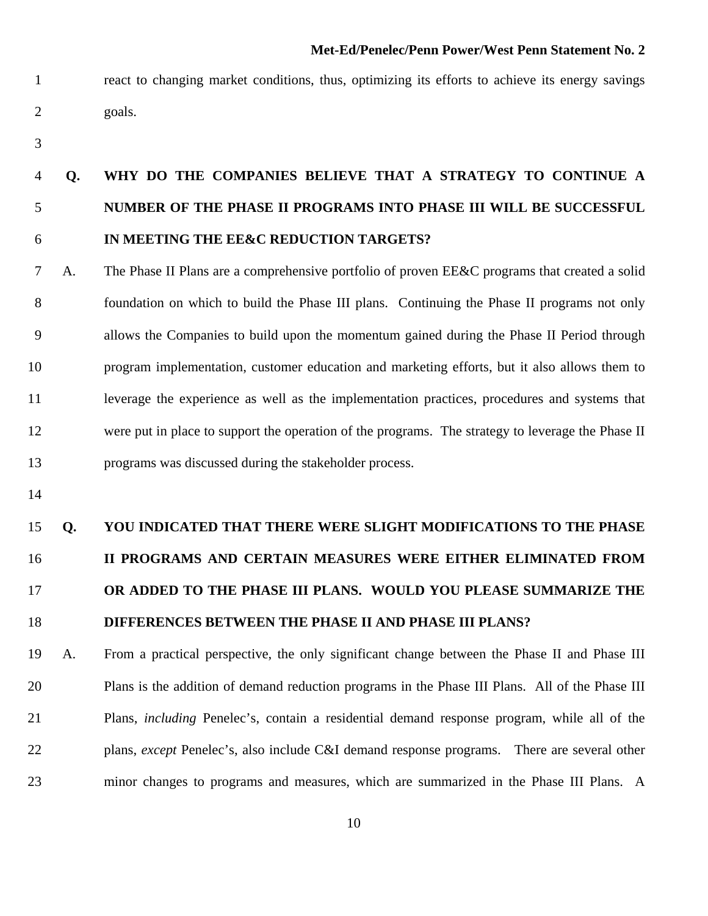- 1 react to changing market conditions, thus, optimizing its efforts to achieve its energy savings 2 goals.
- 3

### 4 **Q. WHY DO THE COMPANIES BELIEVE THAT A STRATEGY TO CONTINUE A**  5 **NUMBER OF THE PHASE II PROGRAMS INTO PHASE III WILL BE SUCCESSFUL**  6 **IN MEETING THE EE&C REDUCTION TARGETS?**

- 7 A. The Phase II Plans are a comprehensive portfolio of proven EE&C programs that created a solid 8 foundation on which to build the Phase III plans.Continuing the Phase II programs not only 9 allows the Companies to build upon the momentum gained during the Phase II Period through 10 program implementation, customer education and marketing efforts, but it also allows them to 11 leverage the experience as well as the implementation practices, procedures and systems that 12 were put in place to support the operation of the programs. The strategy to leverage the Phase II 13 programs was discussed during the stakeholder process.
- 14

### 15 **Q. YOU INDICATED THAT THERE WERE SLIGHT MODIFICATIONS TO THE PHASE**  16 **II PROGRAMS AND CERTAIN MEASURES WERE EITHER ELIMINATED FROM**  17 **OR ADDED TO THE PHASE III PLANS. WOULD YOU PLEASE SUMMARIZE THE**  18 **DIFFERENCES BETWEEN THE PHASE II AND PHASE III PLANS?**

19 A. From a practical perspective, the only significant change between the Phase II and Phase III 20 Plans is the addition of demand reduction programs in the Phase III Plans. All of the Phase III 21 Plans, *including* Penelec's, contain a residential demand response program, while all of the 22 plans, *except* Penelec's, also include C&I demand response programs. There are several other 23 minor changes to programs and measures, which are summarized in the Phase III Plans. A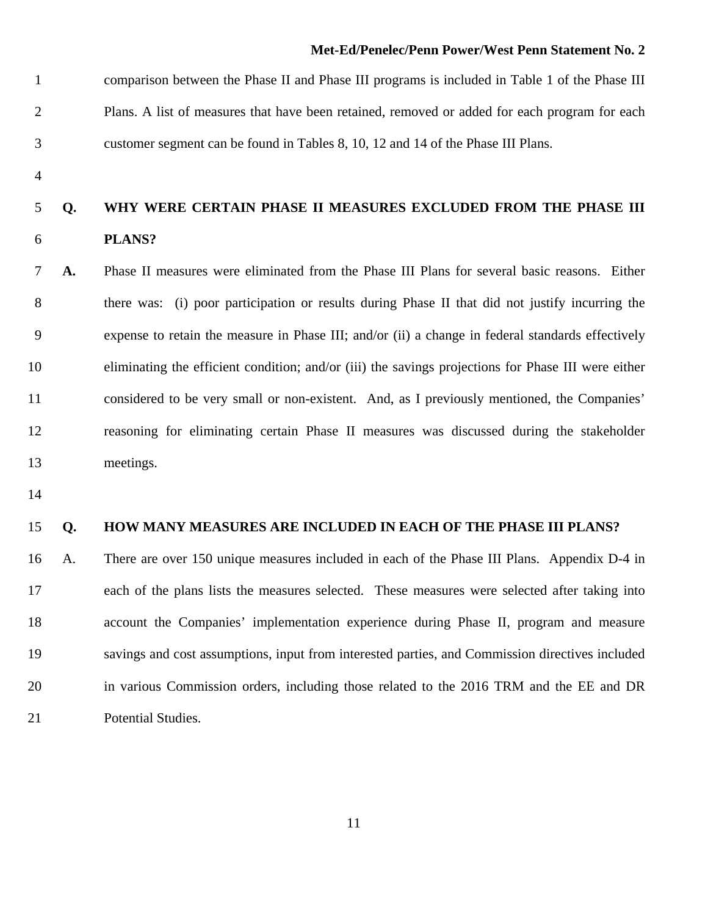1 comparison between the Phase II and Phase III programs is included in Table 1 of the Phase III 2 Plans. A list of measures that have been retained, removed or added for each program for each 3 customer segment can be found in Tables 8, 10, 12 and 14 of the Phase III Plans.

4

### 5 **Q. WHY WERE CERTAIN PHASE II MEASURES EXCLUDED FROM THE PHASE III**  6 **PLANS?**

7 **A.** Phase II measures were eliminated from the Phase III Plans for several basic reasons. Either 8 there was: (i) poor participation or results during Phase II that did not justify incurring the 9 expense to retain the measure in Phase III; and/or (ii) a change in federal standards effectively 10 eliminating the efficient condition; and/or (iii) the savings projections for Phase III were either 11 considered to be very small or non-existent. And, as I previously mentioned, the Companies' 12 reasoning for eliminating certain Phase II measures was discussed during the stakeholder 13 meetings.

14

#### 15 **Q. HOW MANY MEASURES ARE INCLUDED IN EACH OF THE PHASE III PLANS?**

16 A.There are over 150 unique measures included in each of the Phase III Plans. Appendix D-4 in 17 each of the plans lists the measures selected. These measures were selected after taking into 18 account the Companies' implementation experience during Phase II, program and measure 19 savings and cost assumptions, input from interested parties, and Commission directives included 20 in various Commission orders, including those related to the 2016 TRM and the EE and DR 21 Potential Studies.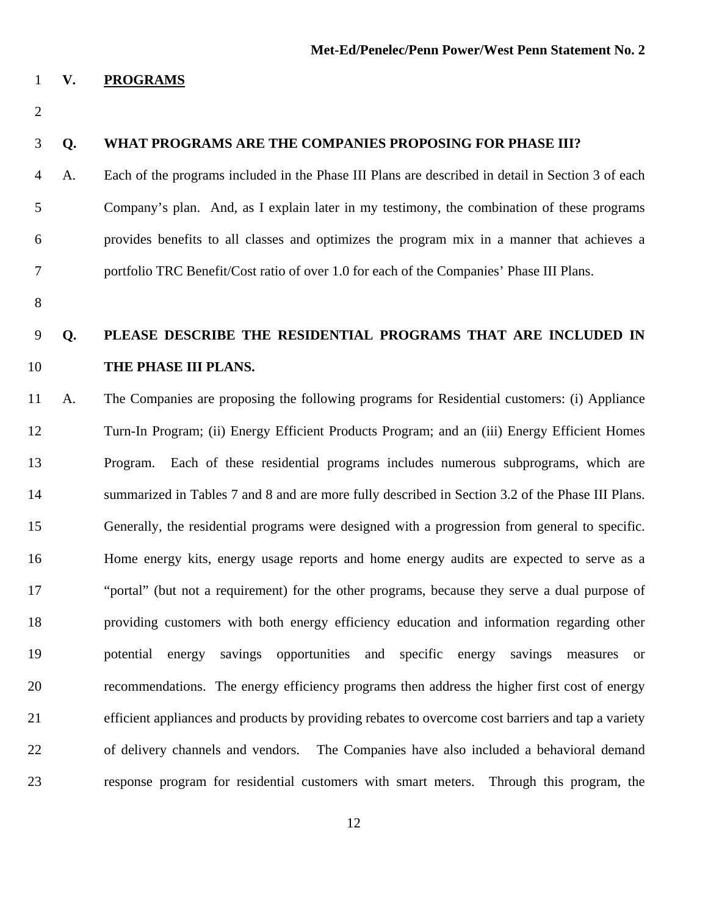#### 1 **V. PROGRAMS**

2

#### 3 **Q. WHAT PROGRAMS ARE THE COMPANIES PROPOSING FOR PHASE III?**

- 4 A. Each of the programs included in the Phase III Plans are described in detail in Section 3 of each 5 Company's plan. And, as I explain later in my testimony, the combination of these programs 6 provides benefits to all classes and optimizes the program mix in a manner that achieves a 7 portfolio TRC Benefit/Cost ratio of over 1.0 for each of the Companies' Phase III Plans.
- 8

### 9 **Q. PLEASE DESCRIBE THE RESIDENTIAL PROGRAMS THAT ARE INCLUDED IN**  10 **THE PHASE III PLANS.**

11 A.The Companies are proposing the following programs for Residential customers: (i) Appliance 12 Turn-In Program; (ii) Energy Efficient Products Program; and an (iii) Energy Efficient Homes 13 Program. Each of these residential programs includes numerous subprograms, which are 14 summarized in Tables 7 and 8 and are more fully described in Section 3.2 of the Phase III Plans. 15 Generally, the residential programs were designed with a progression from general to specific. 16 Home energy kits, energy usage reports and home energy audits are expected to serve as a 17 "portal" (but not a requirement) for the other programs, because they serve a dual purpose of 18 providing customers with both energy efficiency education and information regarding other 19 potential energy savings opportunities and specific energy savings measures or 20 recommendations. The energy efficiency programs then address the higher first cost of energy 21 efficient appliances and products by providing rebates to overcome cost barriers and tap a variety 22 of delivery channels and vendors. The Companies have also included a behavioral demand 23 response program for residential customers with smart meters. Through this program, the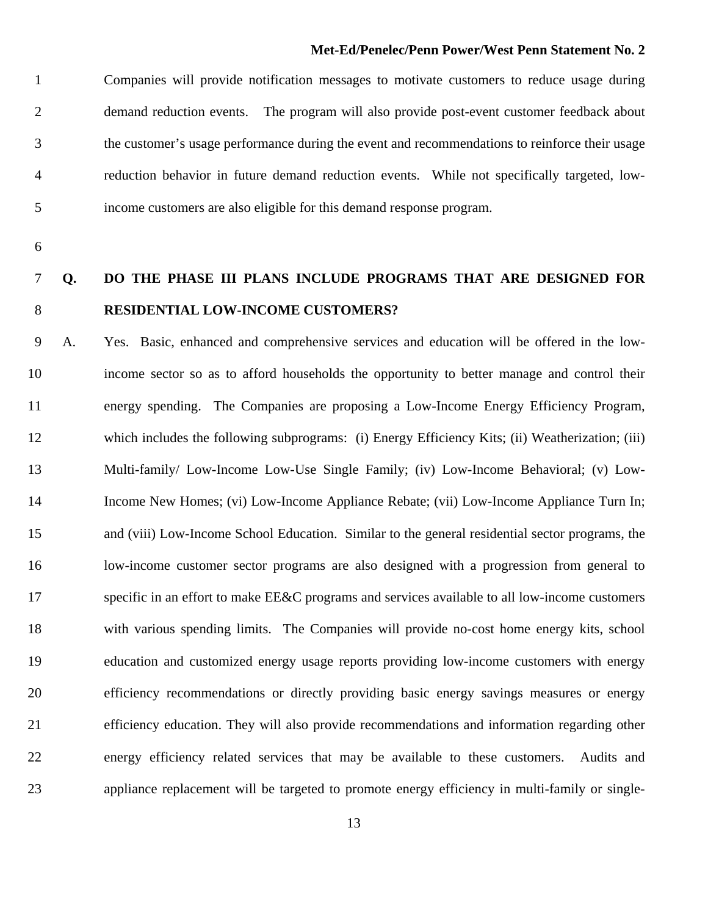1 Companies will provide notification messages to motivate customers to reduce usage during 2 demand reduction events. The program will also provide post-event customer feedback about 3 the customer's usage performance during the event and recommendations to reinforce their usage 4 reduction behavior in future demand reduction events. While not specifically targeted, low-5 income customers are also eligible for this demand response program.

6

### 7 **Q. DO THE PHASE III PLANS INCLUDE PROGRAMS THAT ARE DESIGNED FOR**  8 **RESIDENTIAL LOW-INCOME CUSTOMERS?**

9 A.Yes.Basic, enhanced and comprehensive services and education will be offered in the low-10 income sector so as to afford households the opportunity to better manage and control their 11 energy spending. The Companies are proposing a Low-Income Energy Efficiency Program, 12 which includes the following subprograms: (i) Energy Efficiency Kits; (ii) Weatherization; (iii) 13 Multi-family/ Low-Income Low-Use Single Family; (iv) Low-Income Behavioral; (v) Low-14 Income New Homes; (vi) Low-Income Appliance Rebate; (vii) Low-Income Appliance Turn In; 15 and (viii) Low-Income School Education. Similar to the general residential sector programs, the 16 low-income customer sector programs are also designed with a progression from general to 17 specific in an effort to make EE&C programs and services available to all low-income customers 18 with various spending limits. The Companies will provide no-cost home energy kits, school 19 education and customized energy usage reports providing low-income customers with energy 20 efficiency recommendations or directly providing basic energy savings measures or energy 21 efficiency education. They will also provide recommendations and information regarding other 22 energy efficiency related services that may be available to these customers. Audits and 23 appliance replacement will be targeted to promote energy efficiency in multi-family or single-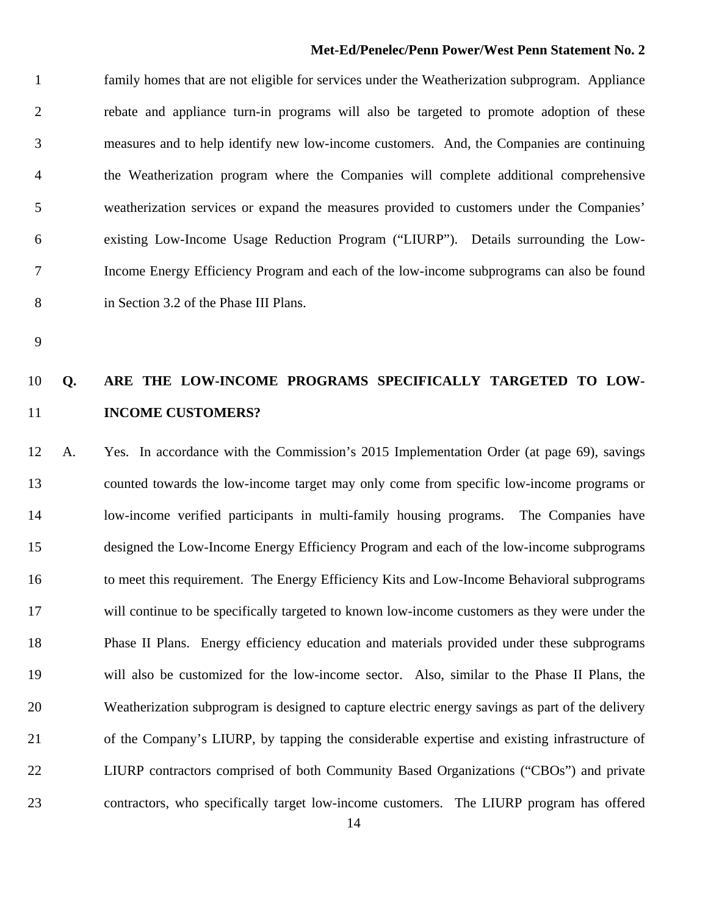1 family homes that are not eligible for services under the Weatherization subprogram. Appliance 2 rebate and appliance turn-in programs will also be targeted to promote adoption of these 3 measures and to help identify new low-income customers. And, the Companies are continuing 4 the Weatherization program where the Companies will complete additional comprehensive 5 weatherization services or expand the measures provided to customers under the Companies' 6 existing Low-Income Usage Reduction Program ("LIURP"). Details surrounding the Low-7 Income Energy Efficiency Program and each of the low-income subprograms can also be found 8 in Section 3.2 of the Phase III Plans.

9

### 10 **Q. ARE THE LOW-INCOME PROGRAMS SPECIFICALLY TARGETED TO LOW-**11 **INCOME CUSTOMERS?**

12 A. Yes. In accordance with the Commission's 2015 Implementation Order (at page 69), savings 13 counted towards the low-income target may only come from specific low-income programs or 14 low-income verified participants in multi-family housing programs. The Companies have 15 designed the Low-Income Energy Efficiency Program and each of the low-income subprograms 16 to meet this requirement. The Energy Efficiency Kits and Low-Income Behavioral subprograms 17 will continue to be specifically targeted to known low-income customers as they were under the 18 Phase II Plans. Energy efficiency education and materials provided under these subprograms 19 will also be customized for the low-income sector. Also, similar to the Phase II Plans, the 20 Weatherization subprogram is designed to capture electric energy savings as part of the delivery 21 of the Company's LIURP, by tapping the considerable expertise and existing infrastructure of 22 LIURP contractors comprised of both Community Based Organizations ("CBOs") and private 23 contractors, who specifically target low-income customers. The LIURP program has offered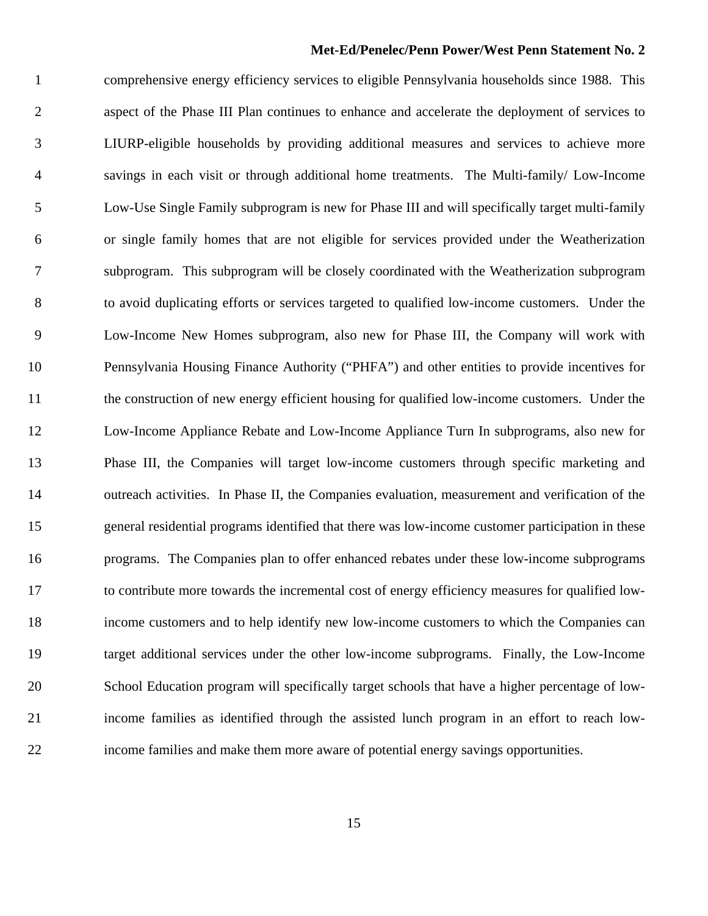1 comprehensive energy efficiency services to eligible Pennsylvania households since 1988. This 2 aspect of the Phase III Plan continues to enhance and accelerate the deployment of services to 3 LIURP-eligible households by providing additional measures and services to achieve more 4 savings in each visit or through additional home treatments. The Multi-family/ Low-Income 5 Low-Use Single Family subprogram is new for Phase III and will specifically target multi-family 6 or single family homes that are not eligible for services provided under the Weatherization 7 subprogram. This subprogram will be closely coordinated with the Weatherization subprogram 8 to avoid duplicating efforts or services targeted to qualified low-income customers. Under the 9 Low-Income New Homes subprogram, also new for Phase III, the Company will work with 10 Pennsylvania Housing Finance Authority ("PHFA") and other entities to provide incentives for 11 the construction of new energy efficient housing for qualified low-income customers. Under the 12 Low-Income Appliance Rebate and Low-Income Appliance Turn In subprograms, also new for 13 Phase III, the Companies will target low-income customers through specific marketing and 14 outreach activities. In Phase II, the Companies evaluation, measurement and verification of the 15 general residential programs identified that there was low-income customer participation in these 16 programs. The Companies plan to offer enhanced rebates under these low-income subprograms 17 to contribute more towards the incremental cost of energy efficiency measures for qualified low-18 income customers and to help identify new low-income customers to which the Companies can 19 target additional services under the other low-income subprograms. Finally, the Low-Income 20 School Education program will specifically target schools that have a higher percentage of low-21 income families as identified through the assisted lunch program in an effort to reach low-22 income families and make them more aware of potential energy savings opportunities.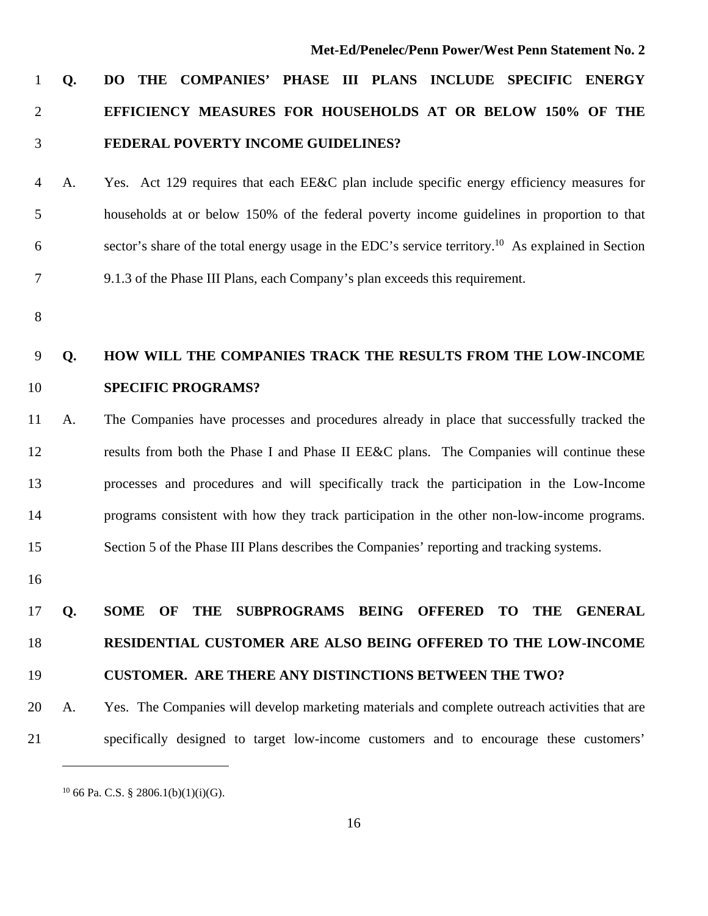### 1 **Q. DO THE COMPANIES' PHASE III PLANS INCLUDE SPECIFIC ENERGY**  2 **EFFICIENCY MEASURES FOR HOUSEHOLDS AT OR BELOW 150% OF THE**  3 **FEDERAL POVERTY INCOME GUIDELINES?**

- 4 A. Yes. Act 129 requires that each EE&C plan include specific energy efficiency measures for 5 households at or below 150% of the federal poverty income guidelines in proportion to that  $\epsilon$  sector's share of the total energy usage in the EDC's service territory.<sup>10</sup> As explained in Section 7 9.1.3 of the Phase III Plans, each Company's plan exceeds this requirement.
- 8

### 9 **Q. HOW WILL THE COMPANIES TRACK THE RESULTS FROM THE LOW-INCOME**  10 **SPECIFIC PROGRAMS?**

## 11 A. The Companies have processes and procedures already in place that successfully tracked the 12 results from both the Phase I and Phase II EE&C plans. The Companies will continue these 13 processes and procedures and will specifically track the participation in the Low-Income 14 programs consistent with how they track participation in the other non-low-income programs. 15 Section 5 of the Phase III Plans describes the Companies' reporting and tracking systems.

16

### 17 **Q. SOME OF THE SUBPROGRAMS BEING OFFERED TO THE GENERAL**  18 **RESIDENTIAL CUSTOMER ARE ALSO BEING OFFERED TO THE LOW-INCOME**

#### 19 **CUSTOMER. ARE THERE ANY DISTINCTIONS BETWEEN THE TWO?**

20 A. Yes. The Companies will develop marketing materials and complete outreach activities that are 21 specifically designed to target low-income customers and to encourage these customers'

 $10$  66 Pa. C.S. § 2806.1(b)(1)(i)(G).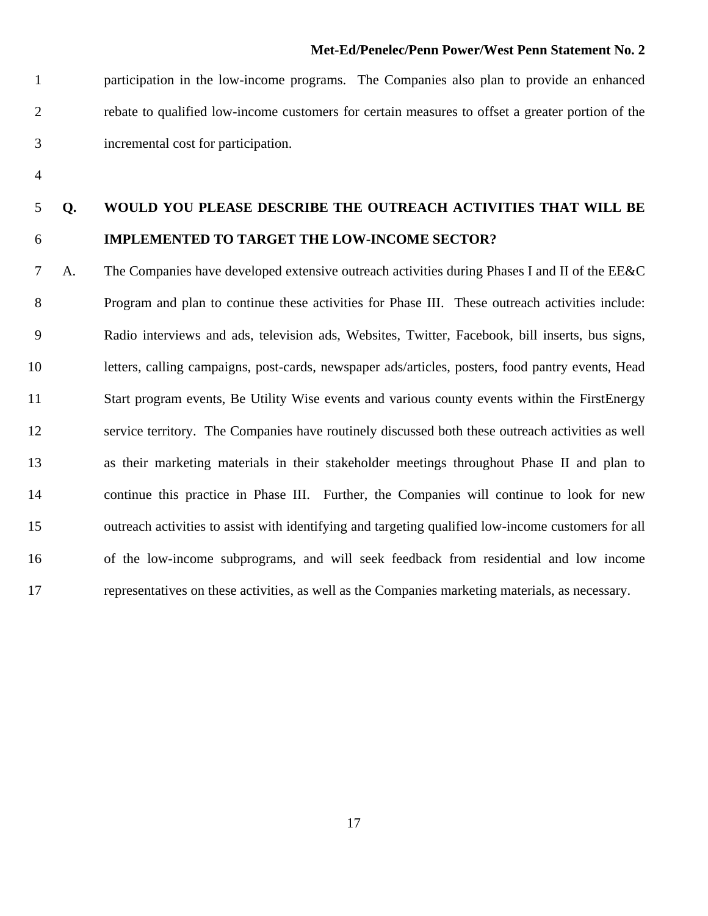1 participation in the low-income programs. The Companies also plan to provide an enhanced 2 rebate to qualified low-income customers for certain measures to offset a greater portion of the 3 incremental cost for participation.

4

### 5 **Q. WOULD YOU PLEASE DESCRIBE THE OUTREACH ACTIVITIES THAT WILL BE**  6 **IMPLEMENTED TO TARGET THE LOW-INCOME SECTOR?**

7 A. The Companies have developed extensive outreach activities during Phases I and II of the EE&C 8 Program and plan to continue these activities for Phase III. These outreach activities include: 9 Radio interviews and ads, television ads, Websites, Twitter, Facebook, bill inserts, bus signs, 10 letters, calling campaigns, post-cards, newspaper ads/articles, posters, food pantry events, Head 11 Start program events, Be Utility Wise events and various county events within the FirstEnergy 12 service territory. The Companies have routinely discussed both these outreach activities as well 13 as their marketing materials in their stakeholder meetings throughout Phase II and plan to 14 continue this practice in Phase III. Further, the Companies will continue to look for new 15 outreach activities to assist with identifying and targeting qualified low-income customers for all 16 of the low-income subprograms, and will seek feedback from residential and low income 17 representatives on these activities, as well as the Companies marketing materials, as necessary.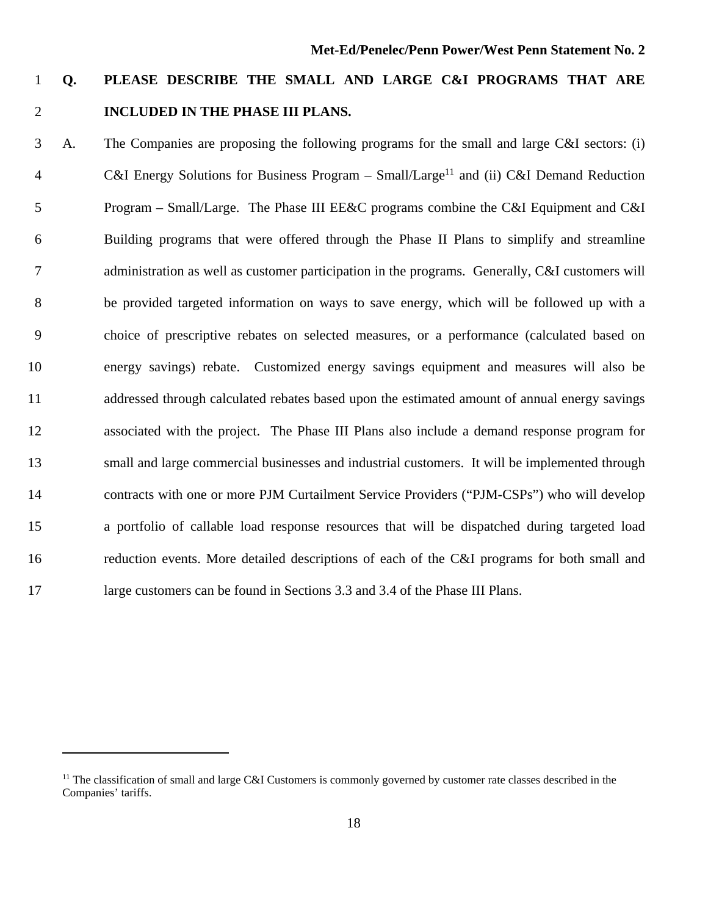### 1 **Q. PLEASE DESCRIBE THE SMALL AND LARGE C&I PROGRAMS THAT ARE**  2 **INCLUDED IN THE PHASE III PLANS.**

3 A. The Companies are proposing the following programs for the small and large C&I sectors: (i) 4 C&I Energy Solutions for Business Program – Small/Large<sup>11</sup> and (ii) C&I Demand Reduction 5 Program – Small/Large. The Phase III EE&C programs combine the C&I Equipment and C&I 6 Building programs that were offered through the Phase II Plans to simplify and streamline 7 administration as well as customer participation in the programs. Generally, C&I customers will 8 be provided targeted information on ways to save energy, which will be followed up with a 9 choice of prescriptive rebates on selected measures, or a performance (calculated based on 10 energy savings) rebate. Customized energy savings equipment and measures will also be 11 addressed through calculated rebates based upon the estimated amount of annual energy savings 12 associated with the project. The Phase III Plans also include a demand response program for 13 small and large commercial businesses and industrial customers. It will be implemented through 14 contracts with one or more PJM Curtailment Service Providers ("PJM-CSPs") who will develop 15 a portfolio of callable load response resources that will be dispatched during targeted load 16 reduction events. More detailed descriptions of each of the C&I programs for both small and 17 large customers can be found in Sections 3.3 and 3.4 of the Phase III Plans.

<sup>&</sup>lt;sup>11</sup> The classification of small and large C&I Customers is commonly governed by customer rate classes described in the Companies' tariffs.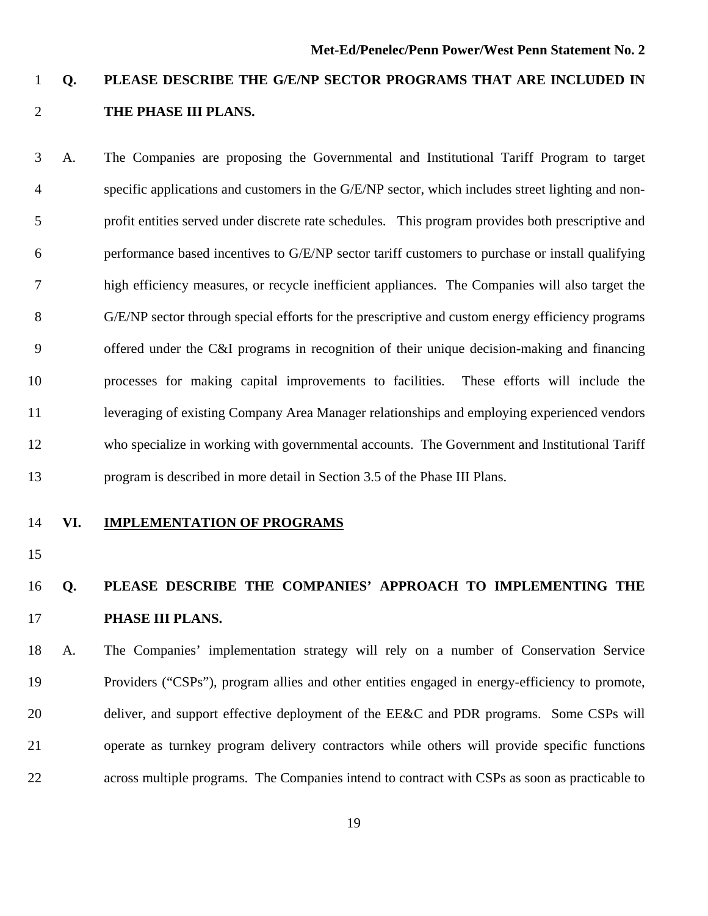### 1 **Q. PLEASE DESCRIBE THE G/E/NP SECTOR PROGRAMS THAT ARE INCLUDED IN**  2 **THE PHASE III PLANS.**

3 A.The Companies are proposing the Governmental and Institutional Tariff Program to target 4 specific applications and customers in the G/E/NP sector, which includes street lighting and non-5 profit entities served under discrete rate schedules. This program provides both prescriptive and 6 performance based incentives to G/E/NP sector tariff customers to purchase or install qualifying 7 high efficiency measures, or recycle inefficient appliances. The Companies will also target the 8 G/E/NP sector through special efforts for the prescriptive and custom energy efficiency programs 9 offered under the C&I programs in recognition of their unique decision-making and financing 10 processes for making capital improvements to facilities. These efforts will include the 11 leveraging of existing Company Area Manager relationships and employing experienced vendors 12 who specialize in working with governmental accounts. The Government and Institutional Tariff 13 program is described in more detail in Section 3.5 of the Phase III Plans.

#### 14 **VI. IMPLEMENTATION OF PROGRAMS**

15

### 16 **Q. PLEASE DESCRIBE THE COMPANIES' APPROACH TO IMPLEMENTING THE**  17 **PHASE III PLANS.**

18 A.The Companies' implementation strategy will rely on a number of Conservation Service 19 Providers ("CSPs"), program allies and other entities engaged in energy-efficiency to promote, 20 deliver, and support effective deployment of the EE&C and PDR programs. Some CSPs will 21 operate as turnkey program delivery contractors while others will provide specific functions 22 across multiple programs. The Companies intend to contract with CSPs as soon as practicable to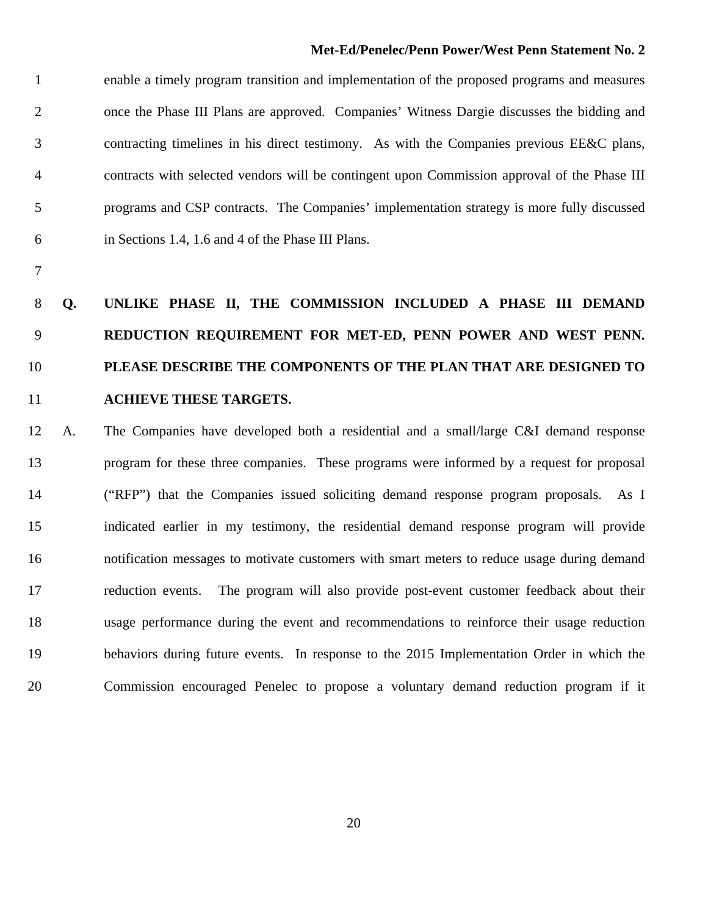1 enable a timely program transition and implementation of the proposed programs and measures 2 once the Phase III Plans are approved. Companies' Witness Dargie discusses the bidding and 3 contracting timelines in his direct testimony. As with the Companies previous EE&C plans, 4 contracts with selected vendors will be contingent upon Commission approval of the Phase III 5 programs and CSP contracts. The Companies' implementation strategy is more fully discussed 6 in Sections 1.4, 1.6 and 4 of the Phase III Plans.

7

### 8 **Q. UNLIKE PHASE II, THE COMMISSION INCLUDED A PHASE III DEMAND**  9 **REDUCTION REQUIREMENT FOR MET-ED, PENN POWER AND WEST PENN.**  10 **PLEASE DESCRIBE THE COMPONENTS OF THE PLAN THAT ARE DESIGNED TO**  11 **ACHIEVE THESE TARGETS.**

12 A. The Companies have developed both a residential and a small/large C&I demand response 13 program for these three companies. These programs were informed by a request for proposal 14 ("RFP") that the Companies issued soliciting demand response program proposals. As I 15 indicated earlier in my testimony, the residential demand response program will provide 16 notification messages to motivate customers with smart meters to reduce usage during demand 17 reduction events. The program will also provide post-event customer feedback about their 18 usage performance during the event and recommendations to reinforce their usage reduction 19 behaviors during future events. In response to the 2015 Implementation Order in which the 20 Commission encouraged Penelec to propose a voluntary demand reduction program if it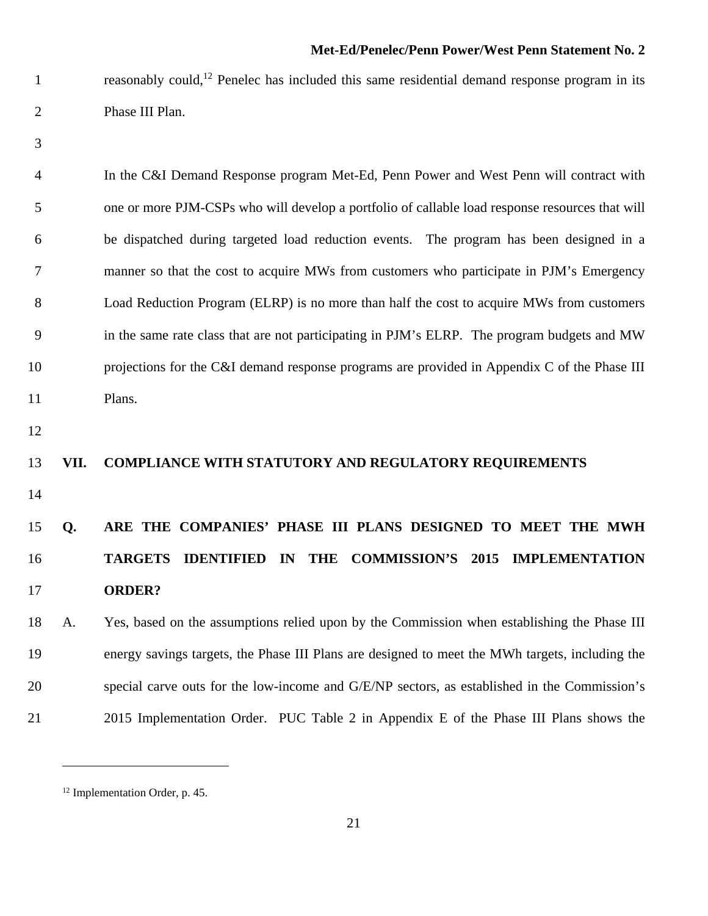1 reasonably could,<sup>12</sup> Penelec has included this same residential demand response program in its 2 Phase III Plan.

3

4 In the C&I Demand Response program Met-Ed, Penn Power and West Penn will contract with 5 one or more PJM-CSPs who will develop a portfolio of callable load response resources that will 6 be dispatched during targeted load reduction events. The program has been designed in a 7 manner so that the cost to acquire MWs from customers who participate in PJM's Emergency 8 Load Reduction Program (ELRP) is no more than half the cost to acquire MWs from customers 9 in the same rate class that are not participating in PJM's ELRP. The program budgets and MW 10 projections for the C&I demand response programs are provided in Appendix C of the Phase III 11 Plans.

12

#### 13 **VII. COMPLIANCE WITH STATUTORY AND REGULATORY REQUIREMENTS**

14

### 15 **Q. ARE THE COMPANIES' PHASE III PLANS DESIGNED TO MEET THE MWH**  16 **TARGETS IDENTIFIED IN THE COMMISSION'S 2015 IMPLEMENTATION**  17 **ORDER?**

18 A. Yes, based on the assumptions relied upon by the Commission when establishing the Phase III 19 energy savings targets, the Phase III Plans are designed to meet the MWh targets, including the 20 special carve outs for the low-income and G/E/NP sectors, as established in the Commission's 21 2015 Implementation Order. PUC Table 2 in Appendix E of the Phase III Plans shows the

<sup>12</sup> Implementation Order, p. 45.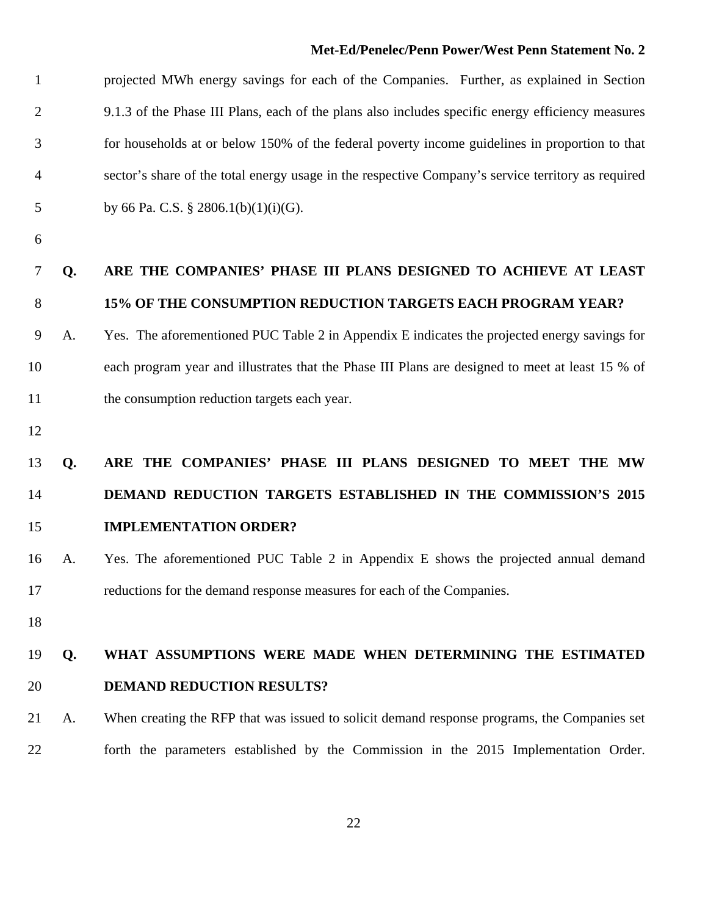1 projected MWh energy savings for each of the Companies. Further, as explained in Section 2 9.1.3 of the Phase III Plans, each of the plans also includes specific energy efficiency measures 3 for households at or below 150% of the federal poverty income guidelines in proportion to that 4 sector's share of the total energy usage in the respective Company's service territory as required 5 by 66 Pa. C.S. § 2806.1(b)(1)(i)(G).

6

### 7 **Q. ARE THE COMPANIES' PHASE III PLANS DESIGNED TO ACHIEVE AT LEAST**  8 **15% OF THE CONSUMPTION REDUCTION TARGETS EACH PROGRAM YEAR?**

9 A. Yes. The aforementioned PUC Table 2 in Appendix E indicates the projected energy savings for 10 each program year and illustrates that the Phase III Plans are designed to meet at least 15 % of 11 the consumption reduction targets each year.

12

### 13 **Q. ARE THE COMPANIES' PHASE III PLANS DESIGNED TO MEET THE MW**  14 **DEMAND REDUCTION TARGETS ESTABLISHED IN THE COMMISSION'S 2015**  15 **IMPLEMENTATION ORDER?**

- 16 A. Yes. The aforementioned PUC Table 2 in Appendix E shows the projected annual demand 17 reductions for the demand response measures for each of the Companies.
- 18

### 19 **Q. WHAT ASSUMPTIONS WERE MADE WHEN DETERMINING THE ESTIMATED**  20 **DEMAND REDUCTION RESULTS?**

21 A. When creating the RFP that was issued to solicit demand response programs, the Companies set 22 forth the parameters established by the Commission in the 2015 Implementation Order.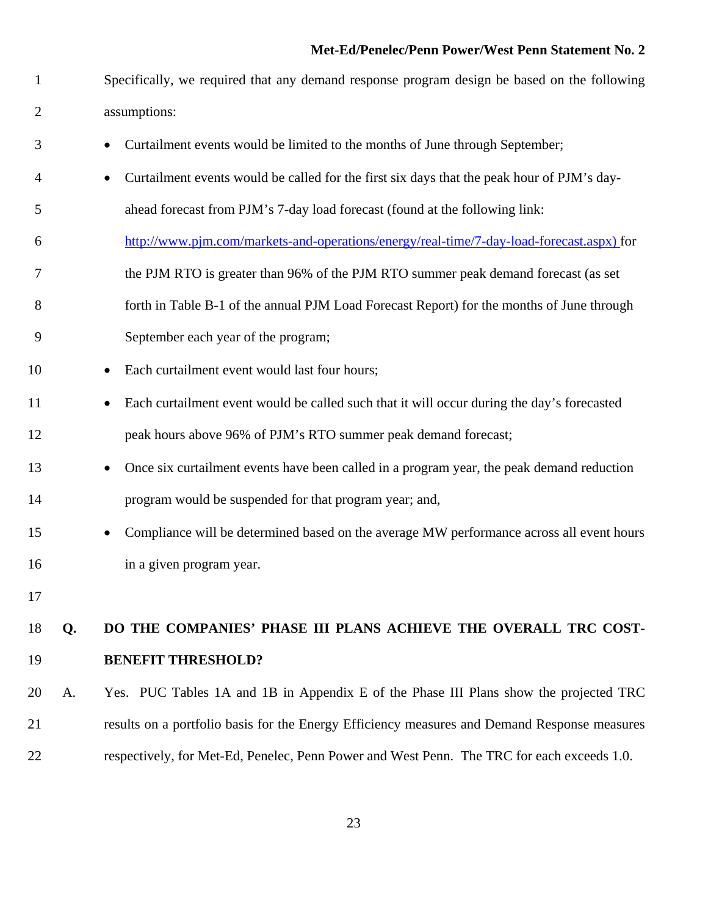1 Specifically, we required that any demand response program design be based on the following 2 assumptions:

- 3 Curtailment events would be limited to the months of June through September;
- 4 Curtailment events would be called for the first six days that the peak hour of PJM's day-
- 5 ahead forecast from PJM's 7-day load forecast (found at the following link:
- 6 http://www.pjm.com/markets-and-operations/energy/real-time/7-day-load-forecast.aspx) for
- 7 the PJM RTO is greater than 96% of the PJM RTO summer peak demand forecast (as set
- 8 forth in Table B-1 of the annual PJM Load Forecast Report) for the months of June through
- 9 September each year of the program;
- 10 Each curtailment event would last four hours;
- 11 Each curtailment event would be called such that it will occur during the day's forecasted 12 peak hours above 96% of PJM's RTO summer peak demand forecast;
- 13 **Once six curtailment events have been called in a program year, the peak demand reduction** 14 program would be suspended for that program year; and,
- 15 Compliance will be determined based on the average MW performance across all event hours 16 in a given program year.
- 17

### 18 **Q. DO THE COMPANIES' PHASE III PLANS ACHIEVE THE OVERALL TRC COST-**19 **BENEFIT THRESHOLD?**

20 A.Yes. PUC Tables 1A and 1B in Appendix E of the Phase III Plans show the projected TRC 21 results on a portfolio basis for the Energy Efficiency measures and Demand Response measures 22 respectively, for Met-Ed, Penelec, Penn Power and West Penn. The TRC for each exceeds 1.0.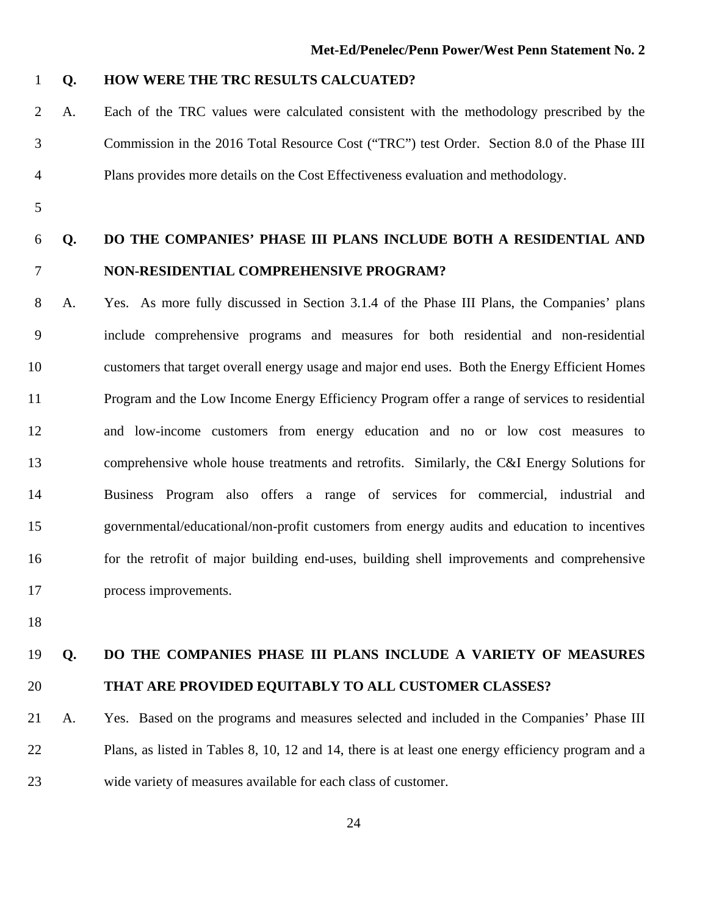#### 1 **Q. HOW WERE THE TRC RESULTS CALCUATED?**

- 2 A. Each of the TRC values were calculated consistent with the methodology prescribed by the 3 Commission in the 2016 Total Resource Cost ("TRC") test Order. Section 8.0 of the Phase III 4 Plans provides more details on the Cost Effectiveness evaluation and methodology.
- 5

### 6 **Q. DO THE COMPANIES' PHASE III PLANS INCLUDE BOTH A RESIDENTIAL AND**  7 **NON-RESIDENTIAL COMPREHENSIVE PROGRAM?**

8 A. Yes. As more fully discussed in Section 3.1.4 of the Phase III Plans, the Companies' plans 9 include comprehensive programs and measures for both residential and non-residential 10 customers that target overall energy usage and major end uses. Both the Energy Efficient Homes 11 Program and the Low Income Energy Efficiency Program offer a range of services to residential 12 and low-income customers from energy education and no or low cost measures to 13 comprehensive whole house treatments and retrofits. Similarly, the C&I Energy Solutions for 14 Business Program also offers a range of services for commercial, industrial and 15 governmental/educational/non-profit customers from energy audits and education to incentives 16 for the retrofit of major building end-uses, building shell improvements and comprehensive 17 process improvements.

18

### 19 **Q. DO THE COMPANIES PHASE III PLANS INCLUDE A VARIETY OF MEASURES**  20 **THAT ARE PROVIDED EQUITABLY TO ALL CUSTOMER CLASSES?**

21 A. Yes. Based on the programs and measures selected and included in the Companies' Phase III 22 Plans, as listed in Tables 8, 10, 12 and 14, there is at least one energy efficiency program and a 23 wide variety of measures available for each class of customer.